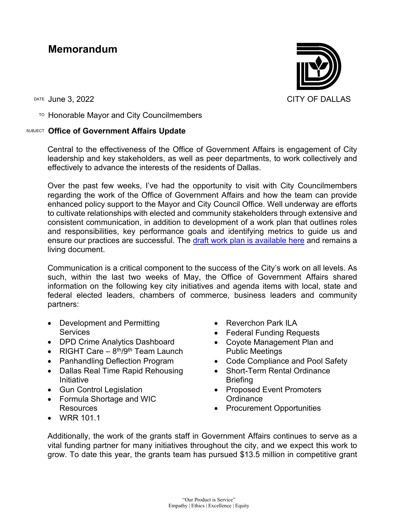# **Memorandum**



 $T$ <sup>O</sup> Honorable Mayor and City Councilmembers

#### SUBJECT **Office of Government Affairs Update**

Central to the effectiveness of the Office of Government Affairs is engagement of City leadership and key stakeholders, as well as peer departments, to work collectively and effectively to advance the interests of the residents of Dallas.

Over the past few weeks, I've had the opportunity to visit with City Councilmembers regarding the work of the Office of Government Affairs and how the team can provide enhanced policy support to the Mayor and City Council Office. Well underway are efforts to cultivate relationships with elected and community stakeholders through extensive and consistent communication, in addition to development of a work plan that outlines roles and responsibilities, key performance goals and identifying metrics to guide us and ensure our practices are successful. The draft work [plan is available here](https://dallastxgov-my.sharepoint.com/:b:/g/personal/carrie_rogers_dallascityhall_com/Ef2NOT03ocBJu37do8Jhw34BsTlo-6jYK2O8Mx9QoX4oTg?e=8N0hi7) and remains a living document.

Communication is a critical component to the success of the City's work on all levels. As such, within the last two weeks of May, the Office of Government Affairs shared information on the following key city initiatives and agenda items with local, state and federal elected leaders, chambers of commerce, business leaders and community partners:

- Development and Permitting **Services**
- DPD Crime Analytics Dashboard
- RIGHT Care  $8<sup>th</sup>/9<sup>th</sup>$  Team Launch
- Panhandling Deflection Program
- Dallas Real Time Rapid Rehousing Initiative
- Gun Control Legislation
- Formula Shortage and WIC Resources
- Reverchon Park ILA
- Federal Funding Requests
- Coyote Management Plan and Public Meetings
- Code Compliance and Pool Safety
- Short-Term Rental Ordinance **Briefing**
- Proposed Event Promoters **Ordinance**
- Procurement Opportunities

• WRR 101.1

Additionally, the work of the grants staff in Government Affairs continues to serve as a vital funding partner for many initiatives throughout the city, and we expect this work to grow. To date this year, the grants team has pursued \$13.5 million in competitive grant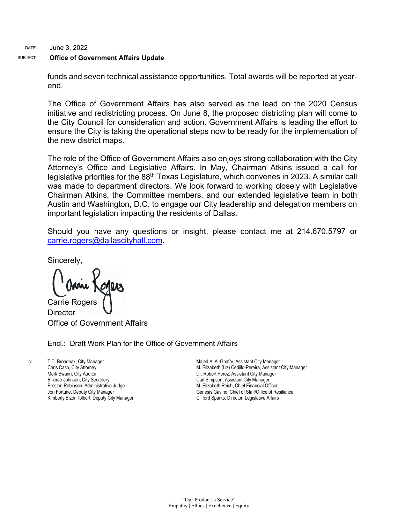DATE June 3, 2022

#### SUBJECT **Office of Government Affairs Update**

funds and seven technical assistance opportunities. Total awards will be reported at yearend.

The Office of Government Affairs has also served as the lead on the 2020 Census initiative and redistricting process. On June 8, the proposed districting plan will come to the City Council for consideration and action. Government Affairs is leading the effort to ensure the City is taking the operational steps now to be ready for the implementation of the new district maps.

The role of the Office of Government Affairs also enjoys strong collaboration with the City Attorney's Office and Legislative Affairs. In May, Chairman Atkins issued a call for legislative priorities for the 88<sup>th</sup> Texas Legislature, which convenes in 2023. A similar call was made to department directors. We look forward to working closely with Legislative Chairman Atkins, the Committee members, and our extended legislative team in both Austin and Washington, D.C. to engage our City leadership and delegation members on important legislation impacting the residents of Dallas.

Should you have any questions or insight, please contact me at 214.670.5797 or [carrie.rogers@dallascityhall.com.](mailto:carrie.rogers@dallascityhall.com)

Sincerely,

Carrie Rogers

**Director** Office of Government Affairs

Encl.: Draft Work Plan for the Office of Government Affairs

c: T.C. Broadnax, City Manager Chris Caso, City Attorney Mark Swann, City Auditor Bilierae Johnson, City Secretary Preston Robinson, Administrative Judge Jon Fortune, Deputy City Manager Kimberly Bizor Tolbert, Deputy City Manager

Majed A. Al-Ghafry, Assistant City Manager M. Elizabeth (Liz) Cedillo-Pereira, Assistant City Manager Dr. Robert Perez, Assistant City Manager Carl Simpson, Assistant City Manager M. Elizabeth Reich, Chief Financial Officer Genesis Gavino, Chief of Staff/Office of Resilience Clifford Sparks, Director, Legislative Affairs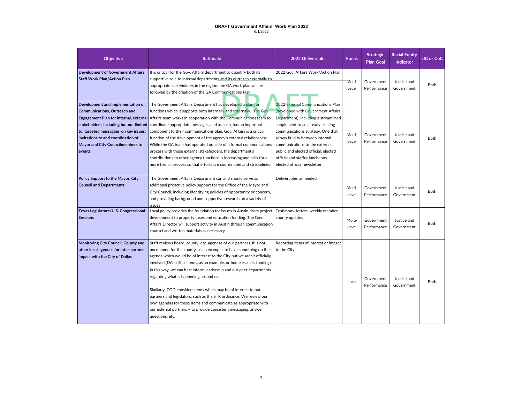#### **DRAFT Government Affairs Work Plan 2022** 6/1/2022

| <b>Objective</b>                                                                                                                                                                                                                                                                                  | <b>Rationale</b>                                                                                                                                                                                                                                                                                                                                                                                                                                                                                                                                                                                                                                                                                                | <b>2022 Deliverables</b>                                                                                                                                                                                                                                                                                                                                                  | <b>Focus</b>    | <b>Strategic</b><br><b>Plan Goal</b> | <b>Racial Equity</b><br><b>Indicator</b> | LIC or CoC  |
|---------------------------------------------------------------------------------------------------------------------------------------------------------------------------------------------------------------------------------------------------------------------------------------------------|-----------------------------------------------------------------------------------------------------------------------------------------------------------------------------------------------------------------------------------------------------------------------------------------------------------------------------------------------------------------------------------------------------------------------------------------------------------------------------------------------------------------------------------------------------------------------------------------------------------------------------------------------------------------------------------------------------------------|---------------------------------------------------------------------------------------------------------------------------------------------------------------------------------------------------------------------------------------------------------------------------------------------------------------------------------------------------------------------------|-----------------|--------------------------------------|------------------------------------------|-------------|
| <b>Development of Government Affairs</b><br><b>Staff Work Plan/Action Plan</b>                                                                                                                                                                                                                    | It is critical for the Gov. Affairs department to quantify both its<br>supportive role to internal departments and its outreach externally to<br>appropriate stakeholders in the region; the GA work plan will be<br>followed by the creation of the GA Communications Plan.                                                                                                                                                                                                                                                                                                                                                                                                                                    | 2022 Gov. Affairs Work/Action Plan                                                                                                                                                                                                                                                                                                                                        | Multi-<br>Level | Government<br>Performance            | Justice and<br>Government                | Both        |
| Development and implementation of<br><b>Communications, Outreach and</b><br>Engagement Plan for internal, external<br>stakeholders, including but not limited<br>to, targeted messaging on key issues;<br>invitations to and coordination of<br><b>Mayor and City Councilmembers to</b><br>events | The Government Affairs Department has developed a plan for<br>functions which it supports both internally and externally. The Gov.<br>Affairs team works in cooperation with the Communications team to<br>coordinate appropriate messages, and as such, has an important<br>component to their communications plan. Gov. Affairs is a critical<br>function of the development of the agency's external relationships.<br>While the GA team has operated outside of a formal communications<br>process with those external stakeholders, the department's<br>contributions to other agency functions is increasing and calls for a<br>more formal process so that efforts are coordinated and streamlined.      | 2022 External Communications Plan<br>(developed with Government Affairs<br>Department), including a streamlined<br>supplement to an already existing<br>communications strategy. One that<br>allows fluidity between internal<br>communications to the external<br>public and elected official; elected<br>official and staffer luncheons,<br>elected official newsletter | Multi-<br>Level | Government<br>Performance            | Justice and<br>Government                | Both        |
| Policy Support to the Mayor, City<br><b>Council and Departments</b>                                                                                                                                                                                                                               | The Government Affairs Department can and should serve as<br>additional proactive policy support for the Office of the Mayor and<br>City Council, including identifying policies of opportunity or concern,<br>and providing background and supportive research on a variety of<br>issues                                                                                                                                                                                                                                                                                                                                                                                                                       | Deliverables as needed                                                                                                                                                                                                                                                                                                                                                    | Multi-<br>Level | Government<br>Performance            | Justice and<br>Government                | Both        |
| Texas Legislature/U.S. Congressional<br><b>Sessions</b>                                                                                                                                                                                                                                           | Local policy provides the foundation for issues in Austin, from project<br>development to property taxes and education funding. The Gov.<br>Affairs Director will support activity in Austin through communication,<br>counsel and written materials as necessary.                                                                                                                                                                                                                                                                                                                                                                                                                                              | Testimony, letters, weekly member<br>county updates                                                                                                                                                                                                                                                                                                                       | Multi-<br>Level | Government<br>Performance            | Justice and<br>Government                | <b>Both</b> |
| Monitoring City Council, County and<br>other local agendas for inter-partner<br>impact with the City of Dallas                                                                                                                                                                                    | Staff reviews board, county, etc. agendas of our partners. It is not<br>uncommon for the county, as an example, to have something on their<br>agenda which would be of interest to the City but we aren't officially<br>involved (DA's office items, as an example, or homelessness funding).<br>In this way, we can best inform leadership and our peer departments<br>regarding what is happening around us.<br>Similarly, COD considers items which may be of interest to our<br>partners and legislators, such as the STR ordinance. We review our<br>own agendas for these items and communicate as appropriate with<br>our external partners - to provide consistent messaging, answer<br>questions, etc. | Reporting items of interest or impact<br>to the City                                                                                                                                                                                                                                                                                                                      | Local           | Government<br>Performance            | Justice and<br>Government                | Both        |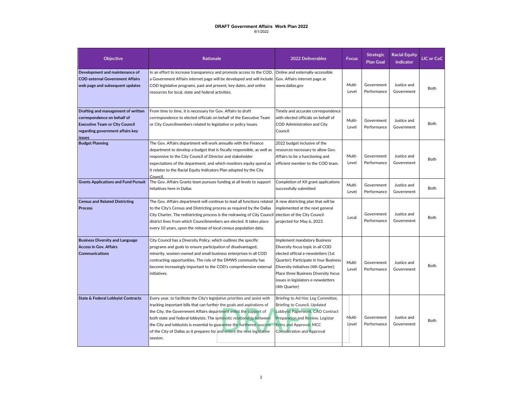## **DRAFT Government Affairs Work Plan 2022** 6/1/2022

| <b>Objective</b>                                                                                                                                                | <b>Rationale</b>                                                                                                                                                                                                                                                                                                                                                                                                                                                     | 2022 Deliverables                                                                                                                                                                                                                                                                         | <b>Focus</b>    | <b>Strategic</b><br><b>Plan Goal</b> | <b>Racial Equity</b><br><b>Indicator</b> | <b>LIC or CoC</b> |
|-----------------------------------------------------------------------------------------------------------------------------------------------------------------|----------------------------------------------------------------------------------------------------------------------------------------------------------------------------------------------------------------------------------------------------------------------------------------------------------------------------------------------------------------------------------------------------------------------------------------------------------------------|-------------------------------------------------------------------------------------------------------------------------------------------------------------------------------------------------------------------------------------------------------------------------------------------|-----------------|--------------------------------------|------------------------------------------|-------------------|
| Development and maintenance of<br><b>COD external Government Affairs</b><br>web page and subsequent updates                                                     | In an effort to increase transparency and promote access to the COD,<br>a Government Affairs internet page will be developed and will include<br>COD legislative programs, past and present, key dates, and online<br>resources for local, state and federal activities.                                                                                                                                                                                             | Online and externally-accessible<br>Gov. Affairs internet page at<br>www.dallas.gov                                                                                                                                                                                                       | Multi-<br>Level | Government<br>Performance            | Justice and<br>Government                | Both              |
| Drafting and management of written<br>correspondence on behalf of<br><b>Executive Team or City Council</b><br>regarding government affairs key<br><b>issues</b> | From time to time, it is necessary for Gov. Affairs to draft<br>correspondence to elected officials on behalf of the Executive Team<br>or City Councilmembers related to legislative or policy issues.                                                                                                                                                                                                                                                               | Timely and accurate correspondence<br>with elected officials on behalf of<br>COD Administration and City<br>Council.                                                                                                                                                                      | Multi-<br>Level | Government<br>Performance            | Justice and<br>Government                | Both              |
| <b>Budget Planning</b>                                                                                                                                          | The Gov. Affairs department will work annually with the Finance<br>department to develop a budget that is fiscally responsible, as well as<br>responsive to the City Council of Director and stakeholder<br>expectations of the department, and which monitors equity spend as<br>it relates to the Racial Equity Indicators Plan adopted by the City<br>Council.                                                                                                    | 2022 budget inclusive of the<br>resources necessary to allow Gov.<br>Affairs to be a functioning and<br>efficient member to the COD team.                                                                                                                                                 | Multi-<br>Level | Government<br>Performance            | Justice and<br>Government                | <b>Both</b>       |
| <b>Grants Applications and Fund Pursuit</b>                                                                                                                     | The Gov. Affairs Grants team pursues funding at all levels to support<br>initaitives here in Dallas                                                                                                                                                                                                                                                                                                                                                                  | Completion of XX grant applications<br>successfully submitted                                                                                                                                                                                                                             | Multi-<br>Level | Government<br>Performance            | Justice and<br>Government                | <b>Both</b>       |
| <b>Census and Related Districting</b><br><b>Process</b>                                                                                                         | The Gov. Affairs department will continue to lead all functions related<br>to the City's Census and Districting process as required by the Dallas<br>City Charter. The redistricting process is the redrawing of City Council<br>district lines from which Councilmembers are elected. It takes place<br>every 10 years, upon the release of local census population data.                                                                                           | A new districting plan that will be<br>implemented at the next general<br>election of the City Council<br>projected for May 6, 2023.                                                                                                                                                      | Local           | Government<br>Performance            | Justice and<br>Government                | Both              |
| <b>Business Diversity and Language</b><br><b>Access in Gov. Affairs</b><br><b>Communications</b>                                                                | City Council has a Diversity Policy, which outlines the specific<br>programs and goals to ensure participation of disadvantaged,<br>minority, women-owned and small business enterprises in all COD<br>contracting opportunities. The role of the DMWS community has<br>become increasingly important to the COD's comprehensive external<br>initiatives.                                                                                                            | Implement mandatory Business<br>Diversity focus topic in all COD<br>elected official e-newsletters (1st<br>Quarter); Participate in four Business<br>Diversity initiatives (4th Quarter);<br>Place three Business Diversity focus<br>issues in legislators e-newsletters<br>(4th Quarter) | Multi-<br>Level | Government<br>Performance            | Justice and<br>Government                | <b>Both</b>       |
| <b>State &amp; Federal Lobbyist Contracts</b>                                                                                                                   | Every year, to facilitate the City's legislative priorities and assist with<br>tracking important bills that can further the goals and aspirations of<br>the City, the Government Affairs department enlist the support of<br>both state and federal lobbyists. The symbiotic relationship between<br>the City and lobbyists is essential to guarantee the furthered success<br>of the City of Dallas as it prepares for and enters the next legislative<br>session. | Briefing to Ad Hoc Leg Committee,<br>Briefing to Council, Updated<br>Lobbyist Paperwork, CAO Contract<br>Preparation and Review, Legistar<br><b>Entry and Approval, MCC</b><br><b>Consideration and Approval</b>                                                                          | Multi-<br>Level | Government<br>Performance            | Justice and<br>Government                | <b>Both</b>       |